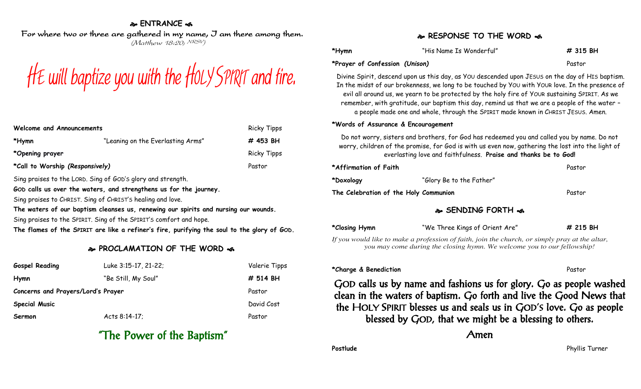### **ENTRANCE**

For where two or three are gathered in my name, I am there among them. (Matthew 18:20; NRSV)



| Welcome and Announcements       |                                   | <b>Ricky Tipps</b> |
|---------------------------------|-----------------------------------|--------------------|
| *Hymn                           | "Leaning on the Everlasting Arms" | # 453 BH           |
| *Opening prayer                 |                                   | <b>Ricky Tipps</b> |
| *Call to Worship (Responsively) |                                   | Pastor             |

Sing praises to the LORD. Sing of GOD'S glory and strength.

**GOD calls us over the waters, and strengthens us for the journey.**

Sing praises to CHRIST. Sing of CHRIST'S healing and love.

**The waters of our baptism cleanses us, renewing our spirits and nursing our wounds.**

Sing praises to the SPIRIT. Sing of the SPIRIT'S comfort and hope.

**The flames of the SPIRIT are like a refiner's fire, purifying the soul to the glory of GOD.**

## **PROCLAMATION OF THE WORD**

| <b>Gospel Reading</b>              | Luke 3:15-17, 21-22; | Valerie Tipps |
|------------------------------------|----------------------|---------------|
| Hymn                               | "Be Still, My Soul"  | # 514 BH      |
| Concerns and Prayers/Lord's Prayer |                      | Pastor        |
| <b>Special Music</b>               |                      | David Cost    |
| Sermon                             | Acts 8:14-17;        | Pastor        |

# "The Power of the Baptism"

### **RESPONSE TO THE WORD of**

| *Hymn                          | "His Name Is Wonderful" | # 315 BH |
|--------------------------------|-------------------------|----------|
| *Prayer of Confession (Unison) |                         | Pastor   |

Divine Spirit, descend upon us this day, as YOU descended upon JESUS on the day of HIS baptism. In the midst of our brokenness, we long to be touched by YOU with YOUR love. In the presence of evil all around us, we yearn to be protected by the holy fire of YOUR sustaining SPIRIT. As we remember, with gratitude, our baptism this day, remind us that we are a people of the water – a people made one and whole, through the SPIRIT made known in CHRIST JESUS. Amen.

#### **\*Words of Assurance & Encouragement**

Do not worry, sisters and brothers, for God has redeemed you and called you by name. Do not worry, children of the promise, for God is with us even now, gathering the lost into the light of everlasting love and faithfulness. **Praise and thanks be to God!**

| *Affirmation of Faith                 |                          | Pastor |
|---------------------------------------|--------------------------|--------|
| *Doxology                             | "Glory Be to the Father" |        |
| The Celebration of the Holy Communion |                          | Pastor |

## **SENDING FORTH**  $\approx$

**\*Closing Hymn** "We Three Kings of Orient Are" **# 215 BH**

*If you would like to make a profession of faith, join the church, or simply pray at the altar, you may come during the closing hymn. We welcome you to our fellowship!*

#### **\*Charge & Benediction** Pastor

GOD calls us by name and fashions us for glory. Go as people washed clean in the waters of baptism. Go forth and live the Good News that the HOLY SPIRIT blesses us and seals us in GOD'S love. Go as people blessed by GOD, that we might be a blessing to others.

Amen

**Postlude** Phyllis Turner